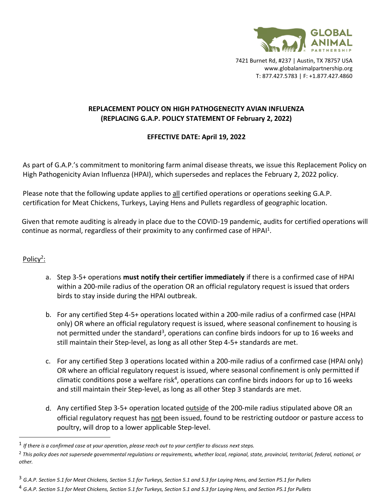

7421 Burnet Rd, #237 | Austin, TX 78757 USA www.globalanimalpartnership.org T: 877.427.5783 | F: +1.877.427.4860

## **REPLACEMENT POLICY ON HIGH PATHOGENECITY AVIAN INFLUENZA (REPLACING G.A.P. POLICY STATEMENT OF February 2, 2022)**

## **EFFECTIVE DATE: April 19, 2022**

As part of G.A.P.'s commitment to monitoring farm animal disease threats, we issue this Replacement Policy on High Pathogenicity Avian Influenza (HPAI), which supersedes and replaces the February 2, 2022 policy.

Please note that the following update applies to all certified operations or operations seeking G.A.P. certification for Meat Chickens, Turkeys, Laying Hens and Pullets regardless of geographic location.

Given that remote auditing is already in place due to the COVID-19 pandemic, audits for certified operations will continue as normal, regardless of their proximity to any confirmed case of HPAI<sup>1</sup>.

## Policy<sup>2</sup>:

- a. Step 3-5+ operations **must notify their certifier immediately** if there is a confirmed case of HPAI within a 200-mile radius of the operation OR an official regulatory request is issued that orders birds to stay inside during the HPAI outbreak.
- b. For any certified Step 4-5+ operations located within a 200-mile radius of a confirmed case (HPAI only) OR where an official regulatory request is issued, where seasonal confinement to housing is not permitted under the standard<sup>3</sup>, operations can confine birds indoors for up to 16 weeks and still maintain their Step-level, as long as all other Step 4-5+ standards are met.
- c. For any certified Step 3 operations located within a 200-mile radius of a confirmed case (HPAI only) OR where an official regulatory request is issued, where seasonal confinement is only permitted if climatic conditions pose a welfare risk<sup>4</sup>, operations can confine birds indoors for up to 16 weeks and still maintain their Step-level, as long as all other Step 3 standards are met.
- d. Any certified Step 3-5+ operation located outside of the 200-mile radius stipulated above OR an official regulatory request has not been issued, found to be restricting outdoor or pasture access to poultry, will drop to a lower applicable Step-level.

<sup>1</sup> *If there is a confirmed case at your operation, please reach out to your certifier to discuss next steps.*

<sup>2</sup> *This policy does not supersede governmental regulations or requirements, whether local, regional, state, provincial, territorial, federal, national, or other.*

<sup>3</sup> *G.A.P. Section 5.1 for Meat Chickens, Section 5.1 for Turkeys, Section 5.1 and 5.3 for Laying Hens, and Section P5.1 for Pullets*

<sup>4</sup> *G.A.P. Section 5.1 for Meat Chickens, Section 5.1 for Turkeys, Section 5.1 and 5.3 for Laying Hens, and Section P5.1 for Pullets*